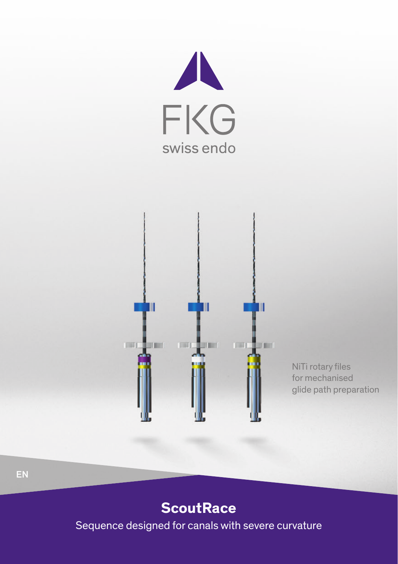



NiTi rotary files for mechanised glide path preparation

### **ScoutRace**

Sequence designed for canals with severe curvature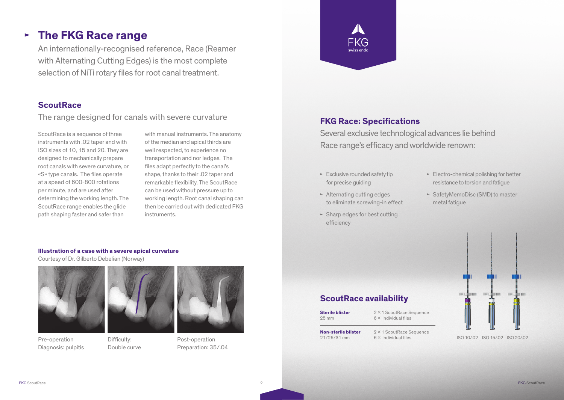## **The FKG Race range**

An internationally-recognised reference, Race (Reamer with Alternating Cutting Edges) is the most complete selection of NiTi rotary files for root canal treatment.

#### **ScoutRace**

The range designed for canals with severe curvature

ScoutRace is a sequence of three instruments with .02 taper and with ISO sizes of 10, 15 and 20. They are designed to mechanically prepare root canals with severe curvature, or «S» type canals. The files operate at a speed of 600-800 rotations per minute, and are used after determining the working length. The ScoutRace range enables the glide path shaping faster and safer than

with manual instruments. The anatomy of the median and apical thirds are well respected, to experience no transportation and nor ledges. The files adapt perfectly to the canal's shape, thanks to their .02 taper and remarkable flexibility. The ScoutRace can be used without pressure up to working length. Root canal shaping can then be carried out with dedicated FKG instruments.

#### **FKG Race: Specifications**

FKG

Several exclusive technological advances lie behind Race range's efficacy and worldwide renown:

- $\blacktriangleright$  Exclusive rounded safety tip for precise quiding
- $\blacktriangleright$  Alternating cutting edges to eliminate screwing-in effect
- $\blacktriangleright$  Sharp edges for best cutting efficiency
- $\blacktriangleright$  Electro-chemical polishing for better resistance to torsion and fatigue
- ► SafetyMemoDisc (SMD) to master metal fatigue

# pared. **BERGET THEFT** ISO 10/.02 ISO 15/.02 ISO 20/.02

## **ScoutRace availability**

- **Sterile blister** 25 mm
- 2 X 1 ScoutRace Sequence 6 x Individual files

**Non-sterile blister** 21/25/31 mm

2 × 1 ScoutRace Sequence 6 x Individual files

Pre-operation Diagnosis: pulpitis



**Illustration of a case with a severe apical curvature**

Courtesy of Dr. Gilberto Debelian (Norway)